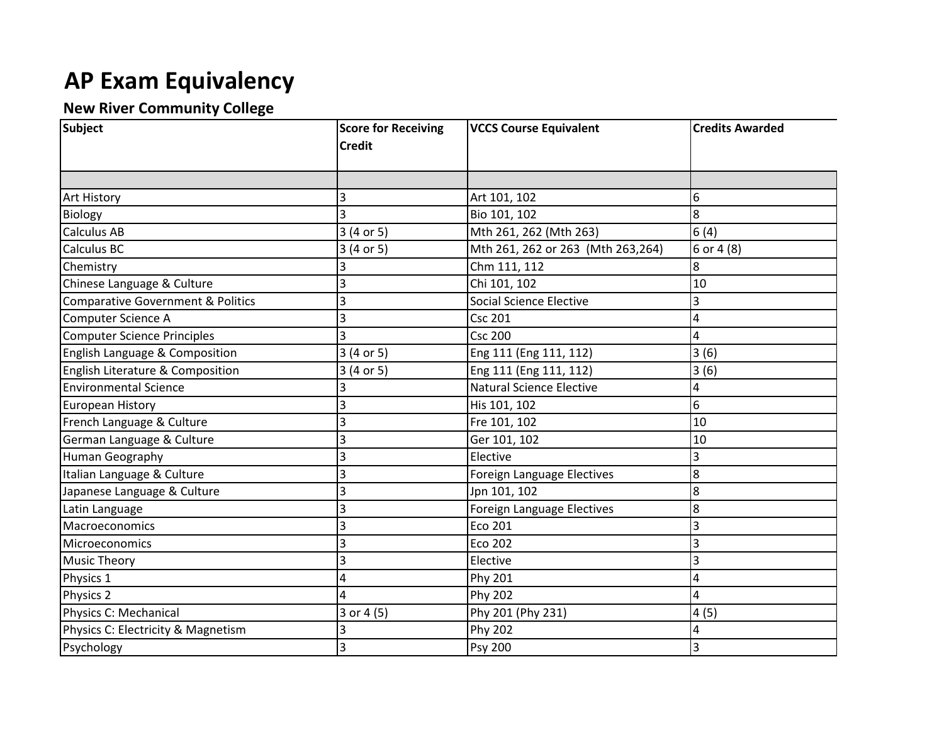## **AP Exam Equivalency**

## **New River Community College**

| Subject                                      | <b>Score for Receiving</b><br><b>Credit</b> | <b>VCCS Course Equivalent</b>      | <b>Credits Awarded</b> |
|----------------------------------------------|---------------------------------------------|------------------------------------|------------------------|
|                                              |                                             |                                    |                        |
| <b>Art History</b>                           | 3                                           | Art 101, 102                       | 6                      |
| Biology                                      |                                             | Bio 101, 102                       | 8                      |
| <b>Calculus AB</b>                           | 3 (4 or 5)                                  | Mth 261, 262 (Mth 263)             | 6(4)                   |
| <b>Calculus BC</b>                           | 3 (4 or 5)                                  | Mth 261, 262 or 263 (Mth 263, 264) | 6 or 4 (8)             |
| Chemistry                                    |                                             | Chm 111, 112                       | 8                      |
| Chinese Language & Culture                   | 3                                           | Chi 101, 102                       | 10                     |
| <b>Comparative Government &amp; Politics</b> |                                             | <b>Social Science Elective</b>     | 3                      |
| Computer Science A                           |                                             | <b>Csc 201</b>                     | 4                      |
| Computer Science Principles                  |                                             | <b>Csc 200</b>                     | 4                      |
| English Language & Composition               | 3 (4 or 5)                                  | Eng 111 (Eng 111, 112)             | 3(6)                   |
| English Literature & Composition             | 3 (4 or 5)                                  | Eng 111 (Eng 111, 112)             | 3(6)                   |
| <b>Environmental Science</b>                 |                                             | <b>Natural Science Elective</b>    | 4                      |
| <b>European History</b>                      |                                             | His 101, 102                       | 6                      |
| French Language & Culture                    |                                             | Fre 101, 102                       | 10                     |
| German Language & Culture                    |                                             | Ger 101, 102                       | 10                     |
| Human Geography                              |                                             | Elective                           | 3                      |
| Italian Language & Culture                   |                                             | Foreign Language Electives         | 8                      |
| Japanese Language & Culture                  |                                             | Jpn 101, 102                       | 8                      |
| Latin Language                               |                                             | Foreign Language Electives         | 8                      |
| Macroeconomics                               |                                             | Eco 201                            | 3                      |
| Microeconomics                               | 3                                           | <b>Eco 202</b>                     | 3                      |
| <b>Music Theory</b>                          | 3                                           | Elective                           | 3                      |
| Physics 1                                    | 4                                           | Phy 201                            | 4                      |
| Physics 2                                    | 4                                           | Phy 202                            | 4                      |
| Physics C: Mechanical                        | 3 or 4 (5)                                  | Phy 201 (Phy 231)                  | 4(5)                   |
| Physics C: Electricity & Magnetism           |                                             | Phy 202                            |                        |
| Psychology                                   | 3                                           | Psy 200                            | 3                      |